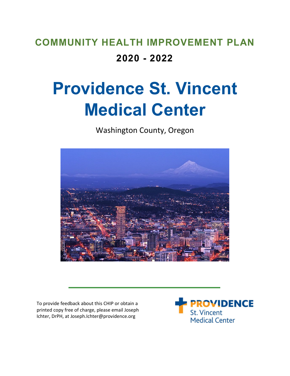## **COMMUNITY HEALTH IMPROVEMENT PLAN 2020 - 2022**

# **Providence St. Vincent Medical Center**

Washington County, Oregon



To provide feedback about this CHIP or obtain a printed copy free of charge, please email Joseph Ichter, DrPH, at Joseph.Ichter@providence.org

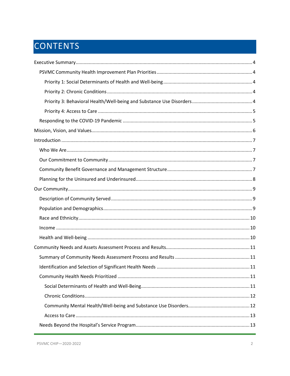## CONTENTS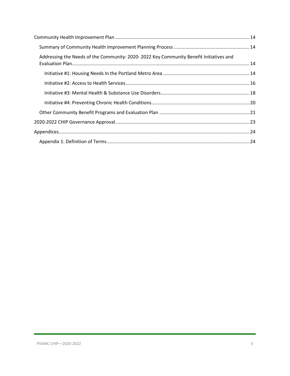| Addressing the Needs of the Community: 2020-2022 Key Community Benefit Initiatives and |  |
|----------------------------------------------------------------------------------------|--|
|                                                                                        |  |
|                                                                                        |  |
|                                                                                        |  |
|                                                                                        |  |
|                                                                                        |  |
|                                                                                        |  |
|                                                                                        |  |
|                                                                                        |  |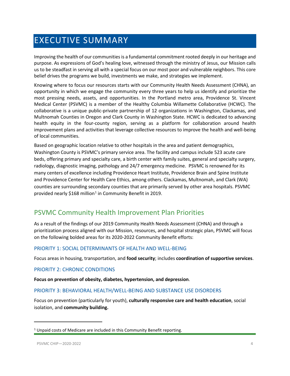## <span id="page-3-0"></span>EXECUTIVE SUMMARY

Improving the health of our communities is a fundamental commitment rooted deeply in our heritage and purpose. As expressions of God's healing love, witnessed through the ministry of Jesus, our Mission calls us to be steadfast in serving all with a special focus on our most poor and vulnerable neighbors. This core belief drives the programs we build, investments we make, and strategies we implement.

Knowing where to focus our resources starts with our Community Health Needs Assessment (CHNA), an opportunity in which we engage the community every three years to help us identify and prioritize the most pressing needs, assets, and opportunities. In the Portland metro area, Providence St. Vincent Medical Center (PSVMC) is a member of the Healthy Columbia Willamette Collaborative (HCWC). The collaborative is a unique public-private partnership of 12 organizations in Washington, Clackamas, and Multnomah Counties in Oregon and Clark County in Washington State. HCWC is dedicated to advancing health equity in the four-county region, serving as a platform for collaboration around health improvement plans and activities that leverage collective resources to improve the health and well-being of local communities.

Based on geographic location relative to other hospitals in the area and patient demographics, Washington County is PSVMC's primary service area. The facility and campus include 523 acute care beds, offering primary and specialty care, a birth center with family suites, general and specialty surgery, radiology, diagnostic imaging, pathology and 24/7 emergency medicine. PSVMC is renowned for its many centers of excellence including Providence Heart Institute, Providence Brain and Spine Institute and Providence Center for Health Care Ethics, among others. Clackamas, Multnomah, and Clark (WA) counties are surrounding secondary counties that are primarily served by other area hospitals. PSVMC provided nearly \$[1](#page-3-5)68 million<sup>1</sup> in Community Benefit in 2019.

## <span id="page-3-1"></span>PSVMC Community Health Improvement Plan Priorities

As a result of the findings of our 2019 Community Health Needs Assessment (CHNA) and through a prioritization process aligned with our Mission, resources, and hospital strategic plan, PSVMC will focus on the following bolded areas for its 2020-2022 Community Benefit efforts:

#### <span id="page-3-2"></span>PRIORITY 1: SOCIAL DETERMINANTS OF HEALTH AND WELL-BEING

Focus areas in housing, transportation, and **food security**; includes **coordination of supportive services**.

#### <span id="page-3-3"></span>PRIORITY 2: CHRONIC CONDITIONS

**Focus on prevention of obesity, diabetes, hypertension, and depression**.

#### <span id="page-3-4"></span>PRIORITY 3: BEHAVIORAL HEALTH/WELL-BEING AND SUBSTANCE USE DISORDERS

Focus on prevention (particularly for youth), **culturally responsive care and health education**, social isolation, and **community building.**

<span id="page-3-5"></span> $1$  Unpaid costs of Medicare are included in this Community Benefit reporting.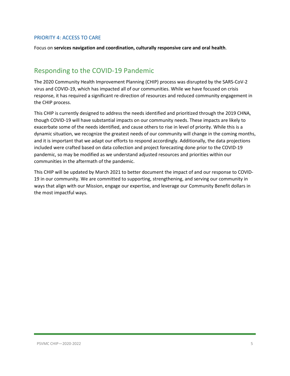#### <span id="page-4-0"></span>PRIORITY 4: ACCESS TO CARE

Focus on **services navigation and coordination, culturally responsive care and oral health**.

## <span id="page-4-1"></span>Responding to the COVID-19 Pandemic

The 2020 Community Health Improvement Planning (CHIP) process was disrupted by the SARS-CoV-2 virus and COVID-19, which has impacted all of our communities. While we have focused on crisis response, it has required a significant re-direction of resources and reduced community engagement in the CHIP process.

This CHIP is currently designed to address the needs identified and prioritized through the 2019 CHNA, though COVID-19 will have substantial impacts on our community needs. These impacts are likely to exacerbate some of the needs identified, and cause others to rise in level of priority. While this is a dynamic situation, we recognize the greatest needs of our community will change in the coming months, and it is important that we adapt our efforts to respond accordingly. Additionally, the data projections included were crafted based on data collection and project forecasting done prior to the COVID-19 pandemic, so may be modified as we understand adjusted resources and priorities within our communities in the aftermath of the pandemic.

This CHIP will be updated by March 2021 to better document the impact of and our response to COVID-19 in our community. We are committed to supporting, strengthening, and serving our community in ways that align with our Mission, engage our expertise, and leverage our Community Benefit dollars in the most impactful ways.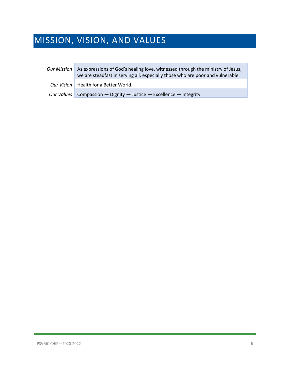## <span id="page-5-0"></span>MISSION, VISION, AND VALUES

п

| Our Mission | As expressions of God's healing love, witnessed through the ministry of Jesus,<br>we are steadfast in serving all, especially those who are poor and vulnerable. |
|-------------|------------------------------------------------------------------------------------------------------------------------------------------------------------------|
|             | Our Vision   Health for a Better World.                                                                                                                          |
|             | Our Values   Compassion — Dignity — Justice — Excellence — Integrity                                                                                             |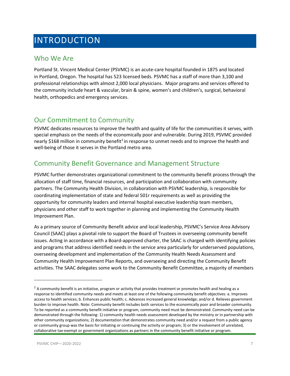## <span id="page-6-0"></span>INTRODUCTION

### <span id="page-6-1"></span>Who We Are

Portland St. Vincent Medical Center (PSVMC) is an acute-care hospital founded in 1875 and located in Portland, Oregon. The hospital has 523 licensed beds. PSVMC has a staff of more than 3,100 and professional relationships with almost 2,000 local physicians. Major programs and services offered to the community include heart & vascular, brain & spine, women's and children's, surgical, behavioral health, orthopedics and emergency services.

### <span id="page-6-2"></span>Our Commitment to Community

PSVMC dedicates resources to improve the health and quality of life for the communities it serves, with special emphasis on the needs of the economically poor and vulnerable. During 2019, PSVMC provided nearly \$168 million in community benefit<sup>[2](#page-6-4)</sup> in response to unmet needs and to improve the health and well-being of those it serves in the Portland metro area.

### <span id="page-6-3"></span>Community Benefit Governance and Management Structure

PSVMC further demonstrates organizational commitment to the community benefit process through the allocation of staff time, financial resources, and participation and collaboration with community partners. The Community Health Division, in collaboration with PSVMC leadership, is responsible for coordinating implementation of state and federal 501r requirements as well as providing the opportunity for community leaders and internal hospital executive leadership team members, physicians and other staff to work together in planning and implementing the Community Health Improvement Plan.

As a primary source of Community Benefit advice and local leadership, PSVMC's Service Area Advisory Council (SAAC) plays a pivotal role to support the Board of Trustees in overseeing community benefit issues. Acting in accordance with a Board-approved charter, the SAAC is charged with identifying policies and programs that address identified needs in the service area particularly for underserved populations, overseeing development and implementation of the Community Health Needs Assessment and Community Health Improvement Plan Reports, and overseeing and directing the Community Benefit activities. The SAAC delegates some work to the Community Benefit Committee, a majority of members

<span id="page-6-4"></span> $2$  A community benefit is an initiative, program or activity that provides treatment or promotes health and healing as a response to identified community needs and meets at least one of the following community benefit objectives: a. Improves access to health services; b. Enhances public health; c. Advances increased general knowledge; and/or d. Relieves government burden to improve health. Note: Community benefit includes both services to the economically poor and broader community. To be reported as a community benefit initiative or program, community need must be demonstrated. Community need can be demonstrated through the following: 1) community health needs assessment developed by the ministry or in partnership with other community organizations; 2) documentation that demonstrates community need and/or a request from a public agency or community group was the basis for initiating or continuing the activity or program; 3) or the involvement of unrelated, collaborative tax-exempt or government organizations as partners in the community benefit initiative or program.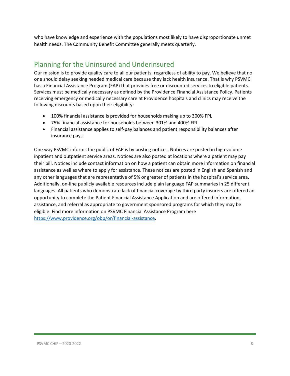who have knowledge and experience with the populations most likely to have disproportionate unmet health needs. The Community Benefit Committee generally meets quarterly.

## <span id="page-7-0"></span>Planning for the Uninsured and Underinsured

Our mission is to provide quality care to all our patients, regardless of ability to pay. We believe that no one should delay seeking needed medical care because they lack health insurance. That is why PSVMC has a Financial Assistance Program (FAP) that provides free or discounted services to eligible patients. Services must be medically necessary as defined by the Providence Financial Assistance Policy. Patients receiving emergency or medically necessary care at Providence hospitals and clinics may receive the following discounts based upon their eligibility:

- 100% financial assistance is provided for households making up to 300% FPL
- 75% financial assistance for households between 301% and 400% FPL
- Financial assistance applies to self-pay balances and patient responsibility balances after insurance pays.

One way PSVMC informs the public of FAP is by posting notices. Notices are posted in high volume inpatient and outpatient service areas. Notices are also posted at locations where a patient may pay their bill. Notices include contact information on how a patient can obtain more information on financial assistance as well as where to apply for assistance. These notices are posted in English and Spanish and any other languages that are representative of 5% or greater of patients in the hospital's service area. Additionally, on-line publicly available resources include plain language FAP summaries in 25 different languages. All patients who demonstrate lack of financial coverage by third party insurers are offered an opportunity to complete the Patient Financial Assistance Application and are offered information, assistance, and referral as appropriate to government sponsored programs for which they may be eligible. Find more information on PSVMC Financial Assistance Program here [https://www.providence.org/obp/or/financial-assistance.](https://www.providence.org/obp/or/financial-assistance)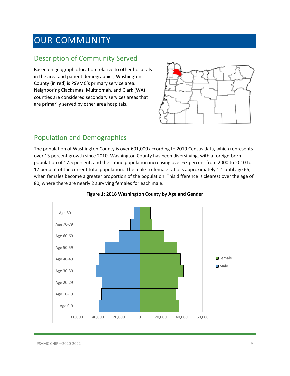## <span id="page-8-0"></span>OUR COMMUNITY

### <span id="page-8-1"></span>Description of Community Served

Based on geographic location relative to other hospitals in the area and patient demographics, Washington County (in red) is PSVMC's primary service area. Neighboring Clackamas, Multnomah, and Clark (WA) counties are considered secondary services areas that are primarily served by other area hospitals.



### <span id="page-8-2"></span>Population and Demographics

The population of Washington County is over 601,000 according to 2019 Census data, which represents over 13 percent growth since 2010. Washington County has been diversifying, with a foreign-born population of 17.5 percent, and the Latino population increasing over 67 percent from 2000 to 2010 to 17 percent of the current total population. The male-to-female ratio is approximately 1:1 until age 65, when females become a greater proportion of the population. This difference is clearest over the age of 80, where there are nearly 2 surviving females for each male.



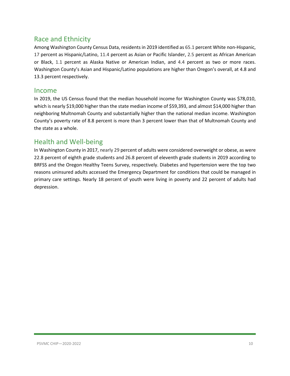### <span id="page-9-0"></span>Race and Ethnicity

Among Washington County Census Data, residents in 2019 identified as 65.1 percent White non-Hispanic, 17 percent as Hispanic/Latino, 11.4 percent as Asian or Pacific Islander, 2.5 percent as African American or Black, 1.1 percent as Alaska Native or American Indian, and 4.4 percent as two or more races. Washington County's Asian and Hispanic/Latino populations are higher than Oregon's overall, at 4.8 and 13.3 percent respectively.

#### <span id="page-9-1"></span>Income

In 2019, the US Census found that the median household income for Washington County was \$78,010, which is nearly \$19,000 higher than the state median income of \$59,393, and almost \$14,000 higher than neighboring Multnomah County and substantially higher than the national median income. Washington County's poverty rate of 8.8 percent is more than 3 percent lower than that of Multnomah County and the state as a whole.

### <span id="page-9-2"></span>Health and Well-being

In Washington County in 2017, nearly 29 percent of adults were considered overweight or obese, as were 22.8 percent of eighth grade students and 26.8 percent of eleventh grade students in 2019 according to BRFSS and the Oregon Healthy Teens Survey, respectively. Diabetes and hypertension were the top two reasons uninsured adults accessed the Emergency Department for conditions that could be managed in primary care settings. Nearly 18 percent of youth were living in poverty and 22 percent of adults had depression.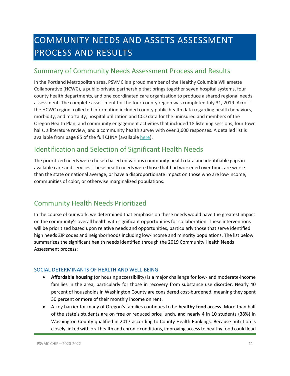## <span id="page-10-0"></span>COMMUNITY NEEDS AND ASSETS ASSESSMENT PROCESS AND RESULTS

### <span id="page-10-1"></span>Summary of Community Needs Assessment Process and Results

In the Portland Metropolitan area, PSVMC is a proud member of the Healthy Columbia Willamette Collaborative (HCWC), a public-private partnership that brings together seven hospital systems, four county health departments, and one coordinated care organization to produce a shared regional needs assessment. The complete assessment for the four-county region was completed July 31, 2019. Across the HCWC region, collected information included county public health data regarding health behaviors, morbidity, and mortality; hospital utilization and CCO data for the uninsured and members of the Oregon Health Plan; and community engagement activities that included 18 listening sessions, four town halls, a literature review, and a community health survey with over 3,600 responses. A detailed list is available from page 85 of the full CHNA (available [here\)](https://comagine.org/sites/default/files/resources/HCWC-Community-Health-Needs-Assessment-Report-July2019_0.pdf).

## <span id="page-10-2"></span>Identification and Selection of Significant Health Needs

The prioritized needs were chosen based on various community health data and identifiable gaps in available care and services. These health needs were those that had worsened over time, are worse than the state or national average, or have a disproportionate impact on those who are low-income, communities of color, or otherwise marginalized populations.

## <span id="page-10-3"></span>Community Health Needs Prioritized

In the course of our work, we determined that emphasis on these needs would have the greatest impact on the community's overall health with significant opportunities for collaboration. These interventions will be prioritized based upon relative needs and opportunities, particularly those that serve identified high needs ZIP codes and neighborhoods including low-income and minority populations. The list below summarizes the significant health needs identified through the 2019 Community Health Needs Assessment process:

#### <span id="page-10-4"></span>SOCIAL DETERMINANTS OF HEALTH AND WELL-BEING

- **Affordable housing** (or housing accessibility) is a major challenge for low- and moderate-income families in the area, particularly for those in recovery from substance use disorder. Nearly 40 percent of households in Washington County are considered cost-burdened, meaning they spent 30 percent or more of their monthly income on rent.
- A key barrier for many of Oregon's families continues to be **healthy food access**. More than half of the state's students are on free or reduced price lunch, and nearly 4 in 10 students (38%) in Washington County qualified in 2017 according to County Health Rankings. Because nutrition is closely linked with oral health and chronic conditions, improving access to healthy food could lead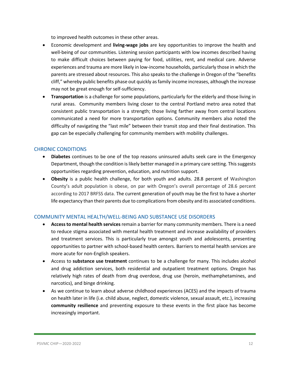to improved health outcomes in these other areas.

- Economic development and **living-wage jobs** are key opportunities to improve the health and well-being of our communities. Listening session participants with low incomes described having to make difficult choices between paying for food, utilities, rent, and medical care. Adverse experiences and trauma are more likely in low-income households, particularly those in which the parents are stressed about resources. This also speaks to the challenge in Oregon of the "benefits cliff," whereby public benefits phase out quickly as family income increases, although the increase may not be great enough for self-sufficiency.
- **Transportation** is a challenge for some populations, particularly for the elderly and those living in rural areas. Community members living closer to the central Portland metro area noted that consistent public transportation is a strength; those living farther away from central locations communicated a need for more transportation options. Community members also noted the difficulty of navigating the "last mile" between their transit stop and their final destination. This gap can be especially challenging for community members with mobility challenges.

#### <span id="page-11-0"></span>CHRONIC CONDITIONS

- **Diabetes** continues to be one of the top reasons uninsured adults seek care in the Emergency Department, though the condition is likely better managed in a primary care setting. This suggests opportunities regarding prevention, education, and nutrition support.
- **Obesity** is a public health challenge, for both youth and adults. 28.8 percent of Washington County's adult population is obese, on par with Oregon's overall percentage of 28.6 percent according to 2017 BRFSS data. The current generation of youth may be the first to have a shorter life expectancy than their parents due to complications from obesity and its associated conditions.

#### <span id="page-11-1"></span>COMMUNITY MENTAL HEALTH/WELL-BEING AND SUBSTANCE USE DISORDERS

- **Access to mental health services**remain a barrier for many community members. There is a need to reduce stigma associated with mental health treatment and increase availability of providers and treatment services. This is particularly true amongst youth and adolescents, presenting opportunities to partner with school-based health centers. Barriers to mental health services are more acute for non-English speakers.
- Access to **substance use treatment** continues to be a challenge for many. This includes alcohol and drug addiction services, both residential and outpatient treatment options. Oregon has relatively high rates of death from drug overdose, drug use (heroin, methamphetamines, and narcotics), and binge drinking.
- As we continue to learn about adverse childhood experiences (ACES) and the impacts of trauma on health later in life (i.e. child abuse, neglect, domestic violence, sexual assault, etc.), increasing **community resilience** and preventing exposure to these events in the first place has become increasingly important.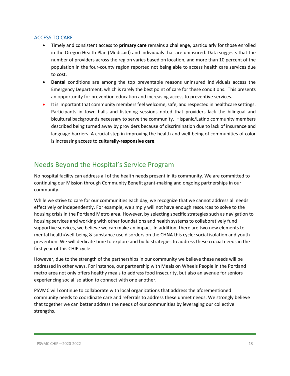#### <span id="page-12-0"></span>ACCESS TO CARE

- Timely and consistent access to **primary care** remains a challenge, particularly for those enrolled in the Oregon Health Plan (Medicaid) and individuals that are uninsured. Data suggests that the number of providers across the region varies based on location, and more than 10 percent of the population in the four-county region reported not being able to access health care services due to cost.
- **Dental** conditions are among the top preventable reasons uninsured individuals access the Emergency Department, which is rarely the best point of care for these conditions. This presents an opportunity for prevention education and increasing access to preventive services.
- It is important that community members feel welcome, safe, and respected in healthcare settings. Participants in town halls and listening sessions noted that providers lack the bilingual and bicultural backgrounds necessary to serve the community. Hispanic/Latino community members described being turned away by providers because of discrimination due to lack of insurance and language barriers. A crucial step in improving the health and well-being of communities of color is increasing access to **culturally-responsive care**.

## <span id="page-12-1"></span>Needs Beyond the Hospital's Service Program

No hospital facility can address all of the health needs present in its community. We are committed to continuing our Mission through Community Benefit grant-making and ongoing partnerships in our community.

While we strive to care for our communities each day, we recognize that we cannot address all needs effectively or independently. For example, we simply will not have enough resources to solve to the housing crisis in the Portland Metro area. However, by selecting specific strategies such as navigation to housing services and working with other foundations and health systems to collaboratively fund supportive services, we believe we can make an impact. In addition, there are two new elements to mental health/well-being & substance use disorders on the CHNA this cycle: social isolation and youth prevention. We will dedicate time to explore and build strategies to address these crucial needs in the first year of this CHIP cycle.

However, due to the strength of the partnerships in our community we believe these needs will be addressed in other ways. For instance, our partnership with Meals on Wheels People in the Portland metro area not only offers healthy meals to address food insecurity, but also an avenue for seniors experiencing social isolation to connect with one another.

PSVMC will continue to collaborate with local organizations that address the aforementioned community needs to coordinate care and referrals to address these unmet needs. We strongly believe that together we can better address the needs of our communities by leveraging our collective strengths.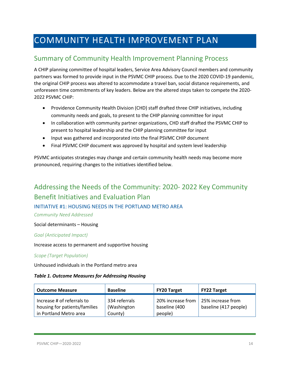## <span id="page-13-0"></span>COMMUNITY HEALTH IMPROVEMENT PLAN

## <span id="page-13-1"></span>Summary of Community Health Improvement Planning Process

A CHIP planning committee of hospital leaders, Service Area Advisory Council members and community partners was formed to provide input in the PSVMC CHIP process. Due to the 2020 COVID-19 pandemic, the original CHIP process was altered to accommodate a travel ban, social distance requirements, and unforeseen time commitments of key leaders. Below are the altered steps taken to compete the 2020- 2022 PSVMC CHIP:

- Providence Community Health Division (CHD) staff drafted three CHIP initiatives, including community needs and goals, to present to the CHIP planning committee for input
- In collaboration with community partner organizations, CHD staff drafted the PSVMC CHIP to present to hospital leadership and the CHIP planning committee for input
- Input was gathered and incorporated into the final PSVMC CHIP document
- Final PSVMC CHIP document was approved by hospital and system level leadership

PSVMC anticipates strategies may change and certain community health needs may become more pronounced, requiring changes to the initiatives identified below.

## <span id="page-13-2"></span>Addressing the Needs of the Community: 2020- 2022 Key Community Benefit Initiatives and Evaluation Plan

#### <span id="page-13-3"></span>INITIATIVE #1: HOUSING NEEDS IN THE PORTLAND METRO AREA

*Community Need Addressed*

#### Social determinants – Housing

#### *Goal (Anticipated Impact)*

Increase access to permanent and supportive housing

#### *Scope (Target Population)*

Unhoused individuals in the Portland metro area

#### *Table 1. Outcome Measures for Addressing Housing*

| <b>Outcome Measure</b>                                                                | <b>Baseline</b>                         | <b>FY20 Target</b>                            | FY22 Target                                |
|---------------------------------------------------------------------------------------|-----------------------------------------|-----------------------------------------------|--------------------------------------------|
| Increase # of referrals to<br>housing for patients/families<br>in Portland Metro area | 334 referrals<br>(Washington<br>County) | 20% increase from<br>baseline (400<br>people) | 25% increase from<br>baseline (417 people) |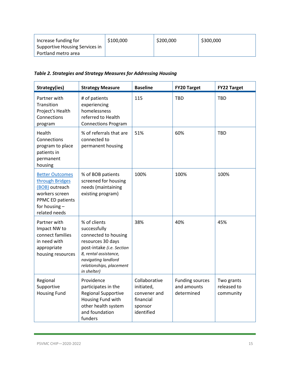| Increase funding for           | \$100,000 | \$200,000 | \$300,000 |
|--------------------------------|-----------|-----------|-----------|
| Supportive Housing Services in |           |           |           |
| Portland metro area            |           |           |           |

#### *Table 2. Strategies and Strategy Measures for Addressing Housing*

| Strategy(ies)                                                                                                                         | <b>Strategy Measure</b>                                                                                                                                                                           | <b>Baseline</b>                                                                   | <b>FY20 Target</b>                                  | <b>FY22 Target</b>                     |
|---------------------------------------------------------------------------------------------------------------------------------------|---------------------------------------------------------------------------------------------------------------------------------------------------------------------------------------------------|-----------------------------------------------------------------------------------|-----------------------------------------------------|----------------------------------------|
| Partner with<br>Transition<br>Project's Health<br>Connections<br>program                                                              | # of patients<br>experiencing<br>homelessness<br>referred to Health<br><b>Connections Program</b>                                                                                                 | 115                                                                               | <b>TBD</b>                                          | <b>TBD</b>                             |
| Health<br>Connections<br>program to place<br>patients in<br>permanent<br>housing                                                      | % of referrals that are<br>connected to<br>permanent housing                                                                                                                                      | 51%                                                                               | 60%                                                 | <b>TBD</b>                             |
| <b>Better Outcomes</b><br>through Bridges<br>(BOB) outreach<br>workers screen<br>PPMC ED patients<br>for housing $-$<br>related needs | % of BOB patients<br>screened for housing<br>needs (maintaining<br>existing program)                                                                                                              | 100%                                                                              | 100%                                                | 100%                                   |
| Partner with<br>Impact NW to<br>connect families<br>in need with<br>appropriate<br>housing resources                                  | % of clients<br>successfully<br>connected to housing<br>resources 30 days<br>post-intake (i.e. Section<br>8, rental assistance,<br>navigating landlord<br>relationships, placement<br>in shelter) | 38%                                                                               | 40%                                                 | 45%                                    |
| Regional<br>Supportive<br><b>Housing Fund</b>                                                                                         | Providence<br>participates in the<br><b>Regional Supportive</b><br>Housing Fund with<br>other health system<br>and foundation<br>funders                                                          | Collaborative<br>initiated,<br>convener and<br>financial<br>sponsor<br>identified | <b>Funding sources</b><br>and amounts<br>determined | Two grants<br>released to<br>community |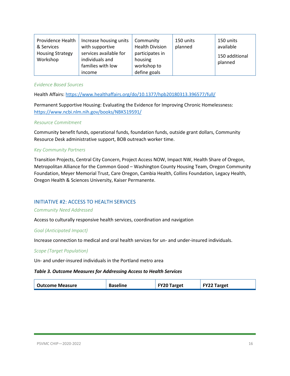| Providence Health<br>& Services<br><b>Housing Strategy</b><br>Workshop | Increase housing units<br>with supportive<br>services available for<br>individuals and<br>families with low | Community<br><b>Health Division</b><br>participates in<br>housing<br>workshop to | 150 units<br>planned | 150 units<br>available<br>150 additional<br>planned |
|------------------------------------------------------------------------|-------------------------------------------------------------------------------------------------------------|----------------------------------------------------------------------------------|----------------------|-----------------------------------------------------|
|                                                                        | income                                                                                                      | define goals                                                                     |                      |                                                     |

#### *Evidence Based Sources*

Health Affairs[: https://www.healthaffairs.org/do/10.1377/hpb20180313.396577/full/](https://www.healthaffairs.org/do/10.1377/hpb20180313.396577/full/)

Permanent Supportive Housing: Evaluating the Evidence for Improving Chronic Homelessness: <https://www.ncbi.nlm.nih.gov/books/NBK519591/>

#### *Resource Commitment*

Community benefit funds, operational funds, foundation funds, outside grant dollars, Community Resource Desk administrative support, BOB outreach worker time.

#### *Key Community Partners*

Transition Projects, Central City Concern, Project Access NOW, Impact NW, Health Share of Oregon, Metropolitan Alliance for the Common Good – Washington County Housing Team, Oregon Community Foundation, Meyer Memorial Trust, Care Oregon, Cambia Health, Collins Foundation, Legacy Health, Oregon Health & Sciences University, Kaiser Permanente.

#### <span id="page-15-0"></span>INITIATIVE #2: ACCESS TO HEALTH SERVICES

#### *Community Need Addressed*

Access to culturally responsive health services, coordination and navigation

#### *Goal (Anticipated Impact)*

Increase connection to medical and oral health services for un- and under-insured individuals.

#### *Scope (Target Population)*

Un- and under-insured individuals in the Portland metro area

#### *Table 3. Outcome Measures for Addressing Access to Health Services*

| Outcome Measure | <b>Baseline</b> | <b>FY20 Target</b> | <b>FY22 Target</b> |
|-----------------|-----------------|--------------------|--------------------|
|                 |                 |                    |                    |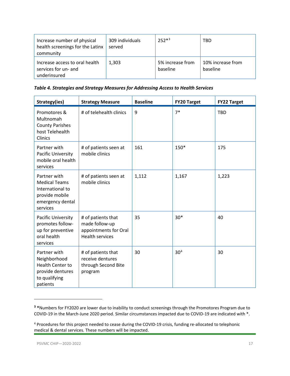| Increase number of physical<br>health screenings for the Latinx<br>community | 309 individuals<br>served | $252*3$                      | TBD                           |
|------------------------------------------------------------------------------|---------------------------|------------------------------|-------------------------------|
| Increase access to oral health<br>services for un- and<br>underinsured       | 1,303                     | 5% increase from<br>baseline | 10% increase from<br>baseline |

*Table 4. Strategies and Strategy Measures for Addressing Access to Health Services*

| Strategy(ies)                                                                                              | <b>Strategy Measure</b>                                                                 | <b>Baseline</b> | <b>FY20 Target</b> | <b>FY22 Target</b> |
|------------------------------------------------------------------------------------------------------------|-----------------------------------------------------------------------------------------|-----------------|--------------------|--------------------|
| Promotores &<br>Multnomah<br><b>County Parishes</b><br>host Telehealth<br><b>Clinics</b>                   | # of telehealth clinics                                                                 | 9               | $7*$               | <b>TBD</b>         |
| Partner with<br><b>Pacific University</b><br>mobile oral health<br>services                                | # of patients seen at<br>mobile clinics                                                 | 161             | 150*               | 175                |
| Partner with<br><b>Medical Teams</b><br>International to<br>provide mobile<br>emergency dental<br>services | # of patients seen at<br>mobile clinics                                                 | 1,112           | 1,167              | 1,223              |
| Pacific University<br>promotes follow-<br>up for preventive<br>oral health<br>services                     | # of patients that<br>made follow-up<br>appointments for Oral<br><b>Health services</b> | 35              | $30*$              | 40                 |
| Partner with<br>Neighborhood<br><b>Health Center to</b><br>provide dentures<br>to qualifying<br>patients   | # of patients that<br>receive dentures<br>through Second Bite<br>program                | 30              | 30 <sup>4</sup>    | 30                 |

<span id="page-16-0"></span>**<sup>3</sup> \***Numbers for FY2020 are lower due to inability to conduct screenings through the Promotores Program due to COVID-19 in the March-June 2020 period. Similar circumstances impacted due to COVID-19 are indicated with \*.

<span id="page-16-1"></span><sup>4</sup> Procedures for this project needed to cease during the COVID-19 crisis, funding re-allocated to telephonic medical & dental services. These numbers will be impacted.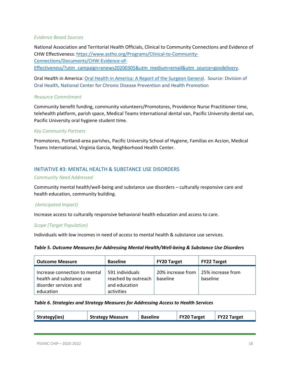#### *Evidence Based Sources*

National Association and Territorial Health Officials, Clinical to Community Connections and Evidence of CHW Effectiveness: [https://www.astho.org/Programs/Clinical-to-Community-](https://www.astho.org/Programs/Clinical-to-Community-Connections/Documents/CHW-Evidence-of-Effectiveness/?utm_campaign=enews20200305&utm_medium=email&utm_source=govdelivery)[Connections/Documents/CHW-Evidence-of-](https://www.astho.org/Programs/Clinical-to-Community-Connections/Documents/CHW-Evidence-of-Effectiveness/?utm_campaign=enews20200305&utm_medium=email&utm_source=govdelivery)[Effectiveness/?utm\\_campaign=enews20200305&utm\\_medium=email&utm\\_source=govdelivery.](https://www.astho.org/Programs/Clinical-to-Community-Connections/Documents/CHW-Evidence-of-Effectiveness/?utm_campaign=enews20200305&utm_medium=email&utm_source=govdelivery)

Oral Health in America[: Oral Health in America: A Report of the Surgeon General.](https://www.nidcr.nih.gov/sites/default/files/2017-10/hck1ocv.%40www.surgeon.fullrpt.pdf) Source: Division of Oral Health, National Center for Chronic Disease Prevention and Health Promotion

#### *Resource Commitment*

Community benefit funding, community volunteers/Promotores, Providence Nurse Practitioner time, telehealth platform, parish space, Medical Teams International dental van, Pacific University dental van, Pacific University oral hygiene student time.

#### *Key Community Partners*

Promotores, Portland-area parishes, Pacific University School of Hygiene, Familias en Accion, Medical Teams International, Virginia Garcia, Neighborhood Health Center.

#### <span id="page-17-0"></span>INITIATIVE #3: MENTAL HEALTH & SUBSTANCE USE DISORDERS

#### *Community Need Addressed*

Community mental health/well-being and substance use disorders – culturally responsive care and health education, community building.

#### *(Anticipated Impact)*

Increase access to culturally responsive behavioral health education and access to care.

#### *Scope (Target Population)*

Individuals with low incomes in need of access to mental health & substance use services.

#### *Table 5. Outcome Measures for Addressing Mental Health/Well-being & Substance Use Disorders*

| <b>Outcome Measure</b>                                                                          | <b>Baseline</b>                                                       | <b>FY20 Target</b>            | <b>FY22 Target</b>            |
|-------------------------------------------------------------------------------------------------|-----------------------------------------------------------------------|-------------------------------|-------------------------------|
| Increase connection to mental<br>health and substance use<br>disorder services and<br>education | 591 individuals<br>reached by outreach<br>and education<br>activities | 20% increase from<br>baseline | 25% increase from<br>baseline |

#### *Table 6. Strategies and Strategy Measures for Addressing Access to Health Services*

| Strategy(ies) | <b>Strategy Measure</b> | <b>Baseline</b> | <b>FY20 Target</b> | FY22 Target |
|---------------|-------------------------|-----------------|--------------------|-------------|
|               |                         |                 |                    |             |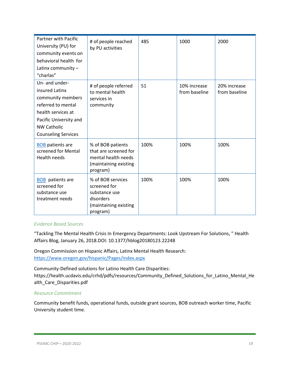| <b>Partner with Pacific</b><br>University (PU) for<br>community events on<br>behavioral health for<br>Latinx community $-$<br>"charlas"                                         | # of people reached<br>by PU activities                                                                | 485  | 1000                          | 2000                          |
|---------------------------------------------------------------------------------------------------------------------------------------------------------------------------------|--------------------------------------------------------------------------------------------------------|------|-------------------------------|-------------------------------|
| Un- and under-<br>insured Latinx<br>community members<br>referred to mental<br>health services at<br>Pacific University and<br><b>NW Catholic</b><br><b>Counseling Services</b> | # of people referred<br>to mental health<br>services in<br>community                                   | 51   | 10% increase<br>from baseline | 20% increase<br>from baseline |
| <b>BOB</b> patients are<br>screened for Mental<br><b>Health needs</b>                                                                                                           | % of BOB patients<br>that are screened for<br>mental health needs<br>(maintaining existing<br>program) | 100% | 100%                          | 100%                          |
| <b>BOB</b> patients are<br>screened for<br>substance use<br>treatment needs                                                                                                     | % of BOB services<br>screened for<br>substance use<br>disorders<br>(maintaining existing<br>program)   | 100% | 100%                          | 100%                          |

#### *Evidence Based Sources*

"Tackling The Mental Health Crisis In Emergency Departments: Look Upstream For Solutions, " Health Affairs Blog, January 26, 2018.DOI: 10.1377/hblog20180123.22248

Oregon Commission on Hispanic Affairs, Latinx Mental Health Research: <https://www.oregon.gov/hispanic/Pages/index.aspx>

Community-Defined solutions for Latino Health Care Disparities: https://health.ucdavis.edu/crhd/pdfs/resources/Community\_Defined\_Solutions\_for\_Latino\_Mental\_He alth\_Care\_Disparities.pdf

#### *Resource Commitment*

Community benefit funds, operational funds, outside grant sources, BOB outreach worker time, Pacific University student time.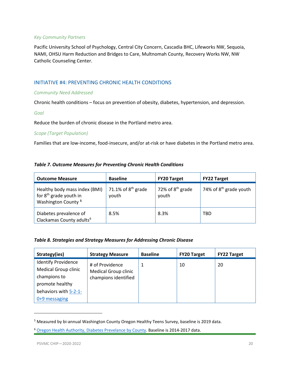#### *Key Community Partners*

Pacific University School of Psychology, Central City Concern, Cascadia BHC, Lifeworks NW, Sequoia, NAMI, OHSU Harm Reduction and Bridges to Care, Multnomah County, Recovery Works NW, NW Catholic Counseling Center.

#### <span id="page-19-0"></span>INITIATIVE #4: PREVENTING CHRONIC HEALTH CONDITIONS

#### *Community Need Addressed*

Chronic health conditions – focus on prevention of obesity, diabetes, hypertension, and depression.

#### *Goal*

Reduce the burden of chronic disease in the Portland metro area.

#### *Scope (Target Population)*

Families that are low-income, food-insecure, and/or at-risk or have diabetes in the Portland metro area.

#### *Table 7. Outcome Measures for Preventing Chronic Health Conditions*

| <b>Outcome Measure</b>                                                                                | <b>Baseline</b>               | <b>FY20 Target</b>          | <b>FY22 Target</b>                 |
|-------------------------------------------------------------------------------------------------------|-------------------------------|-----------------------------|------------------------------------|
| Healthy body mass index (BMI)<br>for 8 <sup>th</sup> grade youth in<br>Washington County <sup>5</sup> | 71.1% of $8th$ grade<br>youth | 72% of $8th$ grade<br>youth | 74% of 8 <sup>th</sup> grade youth |
| Diabetes prevalence of<br>Clackamas County adults <sup>6</sup>                                        | 8.5%                          | 8.3%                        | <b>TBD</b>                         |

#### *Table 8. Strategies and Strategy Measures for Addressing Chronic Disease*

| Strategy(ies)               | <b>Strategy Measure</b>     | <b>Baseline</b> | <b>FY20 Target</b> | <b>FY22 Target</b> |
|-----------------------------|-----------------------------|-----------------|--------------------|--------------------|
| <b>Identify Providence</b>  | # of Providence             |                 | 10                 | 20                 |
| <b>Medical Group clinic</b> | <b>Medical Group clinic</b> |                 |                    |                    |
| champions to                | champions identified        |                 |                    |                    |
| promote healthy             |                             |                 |                    |                    |
| behaviors with 5-2-1-       |                             |                 |                    |                    |
| $0+9$ messaging             |                             |                 |                    |                    |

<span id="page-19-1"></span><sup>5</sup> Measured by bi-annual Washington County Oregon Healthy Teens Survey, baseline is 2019 data.

<span id="page-19-2"></span><sup>6</sup> [Oregon Health Authority, Diabetes Prevelance by County.](https://www.oregon.gov/oha/PH/ABOUT/Documents/indicators/diabetesprev-county.pdf) Baseline is 2014-2017 data.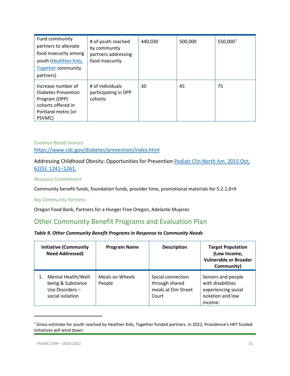| Fund community<br>partners to alleviate<br>food insecurity among<br>youth (Healthier Kids,<br><b>Together community</b><br>partners) | # of youth reached<br>by community<br>partners addressing<br>food insecurity | 440,030 | 500,000 | 550,0007 |
|--------------------------------------------------------------------------------------------------------------------------------------|------------------------------------------------------------------------------|---------|---------|----------|
| Increase number of<br>Diabetes Prevention<br>Program (DPP)<br>cohorts offered in<br>Portland metro (or<br>PSVMC)                     | # of individuals<br>participating in DPP<br>cohorts                          | 30      | 45      | 75       |

#### *Evidence Based Sources* <https://www.cdc.gov/diabetes/prevention/index.html>

#### Addressing Childhood Obesity: Opportunities for Prevention Pediatr Clin North Am. 2015 Oct; [62\(5\): 1241–1261.](https://www.ncbi.nlm.nih.gov/entrez/eutils/elink.fcgi?dbfrom=pubmed&retmode=ref&cmd=prlinks&id=26318950)

#### *Resource Commitment*

Community benefit funds, foundation funds, provider time, promotional materials for 5.2.1.0+9

#### *Key Community Partners*

Oregon Food Bank, Partners for a Hunger Free Oregon, Adelante Mujeres

### <span id="page-20-0"></span>Other Community Benefit Programs and Evaluation Plan

#### *Table 9. Other Community Benefit Programs in Response to Community Needs*

| <b>Initiative (Community</b><br><b>Need Addressed)</b>                         | <b>Program Name</b>       | <b>Description</b>                                                  | <b>Target Population</b><br>(Low Income,<br><b>Vulnerable or Broader</b><br>Community)         |
|--------------------------------------------------------------------------------|---------------------------|---------------------------------------------------------------------|------------------------------------------------------------------------------------------------|
| Mental Health/Well-<br>being & Substance<br>Use Disorders-<br>social isolation | Meals on Wheels<br>People | Social connection<br>through shared<br>meals at Elm Street<br>Court | Seniors and people<br>with disabilities<br>experiencing social<br>isolation and low<br>income. |

<span id="page-20-1"></span><sup>&</sup>lt;sup>7</sup> Gross estimate for youth reached by Heathier Kids, Together funded partners. In 2022, Providence's HKT funded initiatives will wind down.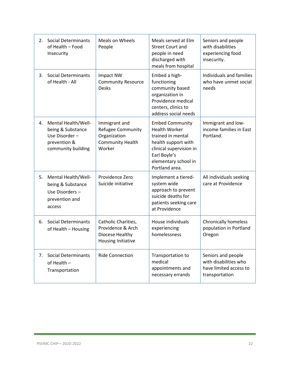| 2. | Social Determinants<br>of Health - Food<br>Insecurity                                           | Meals on Wheels<br>People                                                               | Meals served at Elm<br><b>Street Court and</b><br>people in need<br>discharged with<br>meals from hospital                                                                      | Seniors and people<br>with disabilities<br>experiencing food<br>insecurity.             |
|----|-------------------------------------------------------------------------------------------------|-----------------------------------------------------------------------------------------|---------------------------------------------------------------------------------------------------------------------------------------------------------------------------------|-----------------------------------------------------------------------------------------|
| 3. | Social Determinants<br>of Health - All                                                          | Impact NW<br><b>Community Resource</b><br><b>Desks</b>                                  | Embed a high-<br>functioning<br>community based<br>organization in<br>Providence medical<br>centers, clinics to<br>address social needs                                         | Individuals and families<br>who have unmet social<br>needs                              |
| 4. | Mental Health/Well-<br>being & Substance<br>Use Disorder-<br>prevention &<br>community building | Immigrant and<br>Refugee Community<br>Organization<br><b>Community Health</b><br>Worker | <b>Embed Community</b><br><b>Health Worker</b><br>trained in mental<br>health support with<br>clinical supervision in<br>Earl Boyle's<br>elementary school in<br>Portland area. | Immigrant and low-<br>income families in East<br>Portland.                              |
| 5. | Mental Health/Well-<br>being & Substance<br>Use Disorders-<br>prevention and<br>access          | Providence Zero<br>Suicide initiative                                                   | Implement a tiered-<br>system wide<br>approach to prevent<br>suicide deaths for<br>patients seeking care<br>at Providence                                                       | All individuals seeking<br>care at Providence                                           |
| 6. | <b>Social Determinants</b><br>of Health - Housing                                               | Catholic Charities,<br>Providence & Arch<br>Diocese Healthy<br>Housing Initiative       | House individuals<br>experiencing<br>homelessness                                                                                                                               | <b>Chronically homeless</b><br>population in Portland<br>Oregon                         |
| 7. | <b>Social Determinants</b><br>of Health -<br>Transportation                                     | <b>Ride Connection</b>                                                                  | Transportation to<br>medical<br>appointments and<br>necessary errands                                                                                                           | Seniors and people<br>with disabilities who<br>have limited access to<br>transportation |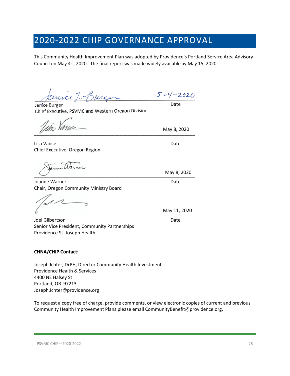## <span id="page-22-0"></span>2020-2022 CHIP GOVERNANCE APPROVAL

This Community Health Improvement Plan was adopted by Providence's Portland Service Area Advisory Council on May  $4<sup>th</sup>$ , 2020. The final report was made widely available by May 15, 2020.

mici I. Burg  $5 - 4 - 2020$ 

Janice Burger Chief Executive, PSVMC and Western Oregon Division

 $\overline{\mathscr{C}}$  , where the contract of the contract of the contract of the contract of the contract of the contract of the contract of the contract of the contract of the contract of the contract of the contract of the contr

Lisa Vance Date Date Date Date Date Chief Executive, Oregon Region

a Uarn  $\overline{\phantom{a}}$   $\overline{\phantom{a}}$   $\overline{\phantom{a}}$   $\overline{\phantom{a}}$   $\overline{\phantom{a}}$   $\overline{\phantom{a}}$   $\overline{\phantom{a}}$   $\overline{\phantom{a}}$   $\overline{\phantom{a}}$   $\overline{\phantom{a}}$   $\overline{\phantom{a}}$   $\overline{\phantom{a}}$   $\overline{\phantom{a}}$   $\overline{\phantom{a}}$   $\overline{\phantom{a}}$   $\overline{\phantom{a}}$   $\overline{\phantom{a}}$   $\overline{\phantom{a}}$   $\overline{\$ 

Joanne Warner **Date** Chair, Oregon Community Ministry Board

Joel Gilbertson Date Senior Vice President, Community Partnerships Providence St. Joseph Health

#### **CHNA/CHIP Contact:**

Joseph Ichter, DrPH, Director Community Health Investment Providence Health & Services 4400 NE Halsey St Portland, OR 97213 Joseph.Ichter@providence.org

To request a copy free of charge, provide comments, or view electronic copies of current and previous Community Health Improvement Plans please email CommunityBenefit@providence.org.

\_\_\_\_\_\_\_\_\_\_\_\_\_\_\_\_\_\_\_\_\_\_\_\_\_\_\_\_\_\_\_\_\_\_\_\_\_\_\_\_\_\_\_\_\_\_\_\_\_\_\_\_\_\_\_\_\_\_\_\_\_\_ May 11, 2020

May 8, 2020

Date

May 8, 2020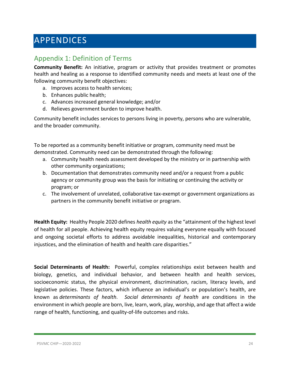## <span id="page-23-0"></span>APPENDICES

## <span id="page-23-1"></span>Appendix 1: Definition of Terms

**Community Benefit:** An initiative, program or activity that provides treatment or promotes health and healing as a response to identified community needs and meets at least one of the following community benefit objectives:

- a. Improves access to health services;
- b. Enhances public health;
- c. Advances increased general knowledge; and/or
- d. Relieves government burden to improve health.

Community benefit includes services to persons living in poverty, persons who are vulnerable, and the broader community.

To be reported as a community benefit initiative or program, community need must be demonstrated. Community need can be demonstrated through the following:

- a. Community health needs assessment developed by the ministry or in partnership with other community organizations;
- b. Documentation that demonstrates community need and/or a request from a public agency or community group was the basis for initiating or continuing the activity or program; or
- c. The involvement of unrelated, collaborative tax-exempt or government organizations as partners in the community benefit initiative or program.

**Health Equity:** Healthy People 2020 defines *health equity* as the "attainment of the highest level of health for all people. Achieving health equity requires valuing everyone equally with focused and ongoing societal efforts to address avoidable inequalities, historical and contemporary injustices, and the elimination of health and health care disparities."

**Social Determinants of Health:** Powerful, complex relationships exist between health and biology, genetics, and individual behavior, and between health and health services, socioeconomic status, the physical environment, discrimination, racism, literacy levels, and legislative policies. These factors, which influence an individual's or population's health, are known as *determinants of health*. *Social determinants of health* are conditions in the environment in which people are born, live, learn, work, play, worship, and age that affect a wide range of health, functioning, and quality-of-life outcomes and risks.